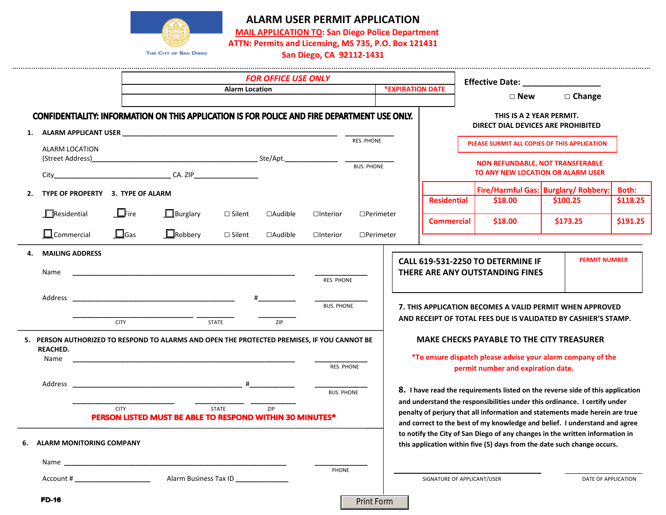

# **ALARM USER PERMIT APPLICATION**

**MAIL APPLICATION TO: San Diego Police Department**

**ATTN: Permits and Licensing, MS 735, P.O. Box 121431**

**San Diego, CA 92112‐1431**

|                                         | <b>FOR OFFICE USE ONLY</b>                                                                                     |                |                   |                  |                                                                                | Effective Date: ________________                                                                                                                                                                                                       |                                             |          |
|-----------------------------------------|----------------------------------------------------------------------------------------------------------------|----------------|-------------------|------------------|--------------------------------------------------------------------------------|----------------------------------------------------------------------------------------------------------------------------------------------------------------------------------------------------------------------------------------|---------------------------------------------|----------|
|                                         | <b>Alarm Location</b>                                                                                          |                | *EXPIRATION DATE  |                  | $\square$ New                                                                  | $\Box$ Change                                                                                                                                                                                                                          |                                             |          |
|                                         | <b>CONFIDENTIALITY: INFORMATION ON THIS APPLICATION IS FOR POLICE AND FIRE DEPARTMENT USE ONLY.</b>            |                |                   |                  |                                                                                | THIS IS A 2 YEAR PERMIT.<br>DIRECT DIAL DEVICES ARE PROHIBITED                                                                                                                                                                         |                                             |          |
| 1.                                      | ALARM APPLICANT USER EXAMPLE THE STATE OF STATES AND THE STATES OF STATES OF STATES OF STATES OF STATES OF STA |                | <b>RES. PHONE</b> |                  |                                                                                |                                                                                                                                                                                                                                        |                                             |          |
| ALARM LOCATION<br>(Street Address)      |                                                                                                                |                |                   |                  |                                                                                | PLEASE SUBMIT ALL COPIES OF THIS APPLICATION<br><b>NON REFUNDABLE, NOT TRANSFERABLE</b>                                                                                                                                                |                                             |          |
|                                         |                                                                                                                |                | <b>BUS, PHONE</b> |                  |                                                                                | TO ANY NEW LOCATION OR ALARM USER                                                                                                                                                                                                      |                                             |          |
|                                         |                                                                                                                |                |                   |                  |                                                                                |                                                                                                                                                                                                                                        | <b>Fire/Harmful Gas: Burglary/ Robbery:</b> | Both:    |
| TYPE OF PROPERTY 3. TYPE OF ALARM<br>2. |                                                                                                                |                |                   |                  | <b>Residential</b>                                                             | \$18.00                                                                                                                                                                                                                                | \$100.25                                    | \$118.25 |
| $\Box$ Residential<br>$L$ Fire          | $\Box$ Burglary<br>$\Box$ Silent                                                                               | $\Box$ Audible | $\Box$ Interior   | $\Box$ Perimeter | <b>Commercial</b>                                                              | \$18.00                                                                                                                                                                                                                                | \$173.25                                    | \$191.25 |
| $\Box$ Commercial<br>$\Box$ Gas         | $\Box$ Robbery<br>$\Box$ Silent                                                                                | $\Box$ Audible | $\Box$ Interior   | $\Box$ Perimeter |                                                                                |                                                                                                                                                                                                                                        |                                             |          |
| <b>MAILING ADDRESS</b><br>4.<br>Name    |                                                                                                                |                | RES. PHONE        |                  |                                                                                | CALL 619-531-2250 TO DETERMINE IF<br>THERE ARE ANY OUTSTANDING FINES                                                                                                                                                                   | <b>PERMIT NUMBER</b>                        |          |
|                                         |                                                                                                                | #              | <b>BUS. PHONE</b> |                  |                                                                                | 7. THIS APPLICATION BECOMES A VALID PERMIT WHEN APPROVED                                                                                                                                                                               |                                             |          |
| <b>CITY</b>                             | <b>STATE</b>                                                                                                   | ZIP            |                   |                  |                                                                                | AND RECEIPT OF TOTAL FEES DUE IS VALIDATED BY CASHIER'S STAMP.                                                                                                                                                                         |                                             |          |
| <b>REACHED.</b>                         | 5. PERSON AUTHORIZED TO RESPOND TO ALARMS AND OPEN THE PROTECTED PREMISES, IF YOU CANNOT BE                    |                |                   |                  |                                                                                | <b>MAKE CHECKS PAYABLE TO THE CITY TREASURER</b>                                                                                                                                                                                       |                                             |          |
| Name                                    |                                                                                                                |                | RES. PHONE        |                  |                                                                                | *To ensure dispatch please advise your alarm company of the<br>permit number and expiration date.                                                                                                                                      |                                             |          |
|                                         |                                                                                                                |                | <b>BUS. PHONE</b> |                  | 8. I have read the requirements listed on the reverse side of this application |                                                                                                                                                                                                                                        |                                             |          |
| <b>CITY</b>                             | <b>STATE</b><br>PERSON LISTED MUST BE ABLE TO RESPOND WITHIN 30 MINUTES*                                       | ZIP            |                   |                  |                                                                                | and understand the responsibilities under this ordinance. I certify under<br>penalty of perjury that all information and statements made herein are true<br>and correct to the best of my knowledge and belief. I understand and agree |                                             |          |
| <b>ALARM MONITORING COMPANY</b><br>6.   |                                                                                                                |                |                   |                  |                                                                                | to notify the City of San Diego of any changes in the written information in<br>this application within five (5) days from the date such change occurs.                                                                                |                                             |          |
|                                         |                                                                                                                |                |                   |                  |                                                                                |                                                                                                                                                                                                                                        |                                             |          |
| Account # _______________________       | Alarm Business Tax ID ______________                                                                           |                | PHONE             |                  | SIGNATURE OF APPLICANT/USER                                                    |                                                                                                                                                                                                                                        | DATE OF APPLICATION                         |          |
| <b>FD-16</b>                            |                                                                                                                |                | <b>Print Form</b> |                  |                                                                                |                                                                                                                                                                                                                                        |                                             |          |